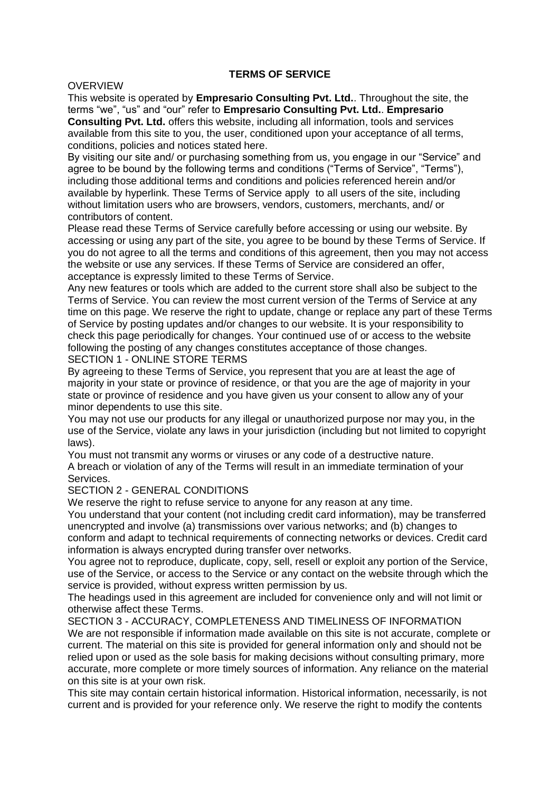# **TERMS OF SERVICE**

# **OVERVIEW**

This website is operated by **Empresario Consulting Pvt. Ltd.**. Throughout the site, the terms "we", "us" and "our" refer to **Empresario Consulting Pvt. Ltd.**. **Empresario Consulting Pvt. Ltd.** offers this website, including all information, tools and services available from this site to you, the user, conditioned upon your acceptance of all terms, conditions, policies and notices stated here.

By visiting our site and/ or purchasing something from us, you engage in our "Service" and agree to be bound by the following terms and conditions ("Terms of Service", "Terms"), including those additional terms and conditions and policies referenced herein and/or available by hyperlink. These Terms of Service apply to all users of the site, including without limitation users who are browsers, vendors, customers, merchants, and/ or contributors of content.

Please read these Terms of Service carefully before accessing or using our website. By accessing or using any part of the site, you agree to be bound by these Terms of Service. If you do not agree to all the terms and conditions of this agreement, then you may not access the website or use any services. If these Terms of Service are considered an offer, acceptance is expressly limited to these Terms of Service.

Any new features or tools which are added to the current store shall also be subject to the Terms of Service. You can review the most current version of the Terms of Service at any time on this page. We reserve the right to update, change or replace any part of these Terms of Service by posting updates and/or changes to our website. It is your responsibility to check this page periodically for changes. Your continued use of or access to the website following the posting of any changes constitutes acceptance of those changes. SECTION 1 - ONLINE STORE TERMS

By agreeing to these Terms of Service, you represent that you are at least the age of majority in your state or province of residence, or that you are the age of majority in your state or province of residence and you have given us your consent to allow any of your minor dependents to use this site.

You may not use our products for any illegal or unauthorized purpose nor may you, in the use of the Service, violate any laws in your jurisdiction (including but not limited to copyright laws).

You must not transmit any worms or viruses or any code of a destructive nature. A breach or violation of any of the Terms will result in an immediate termination of your Services.

# SECTION 2 - GENERAL CONDITIONS

We reserve the right to refuse service to anyone for any reason at any time.

You understand that your content (not including credit card information), may be transferred unencrypted and involve (a) transmissions over various networks; and (b) changes to conform and adapt to technical requirements of connecting networks or devices. Credit card information is always encrypted during transfer over networks.

You agree not to reproduce, duplicate, copy, sell, resell or exploit any portion of the Service, use of the Service, or access to the Service or any contact on the website through which the service is provided, without express written permission by us.

The headings used in this agreement are included for convenience only and will not limit or otherwise affect these Terms.

SECTION 3 - ACCURACY, COMPLETENESS AND TIMELINESS OF INFORMATION We are not responsible if information made available on this site is not accurate, complete or current. The material on this site is provided for general information only and should not be relied upon or used as the sole basis for making decisions without consulting primary, more accurate, more complete or more timely sources of information. Any reliance on the material on this site is at your own risk.

This site may contain certain historical information. Historical information, necessarily, is not current and is provided for your reference only. We reserve the right to modify the contents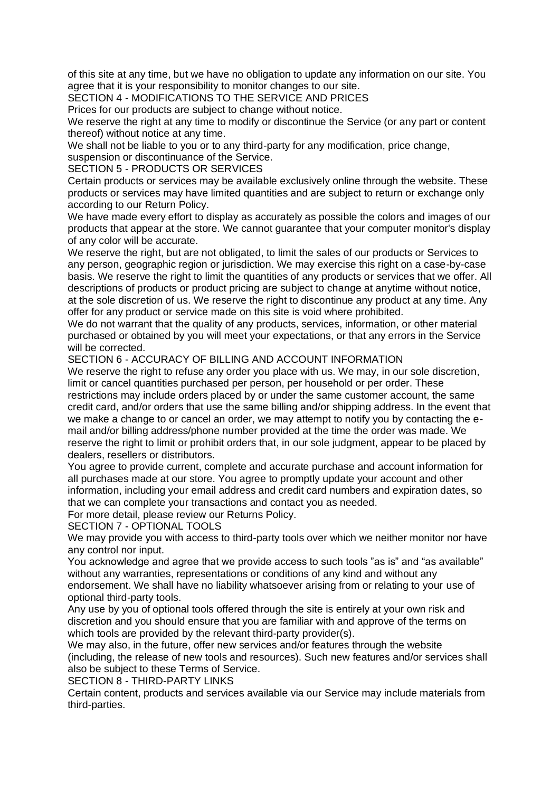of this site at any time, but we have no obligation to update any information on our site. You agree that it is your responsibility to monitor changes to our site.

SECTION 4 - MODIFICATIONS TO THE SERVICE AND PRICES

Prices for our products are subject to change without notice.

We reserve the right at any time to modify or discontinue the Service (or any part or content thereof) without notice at any time.

We shall not be liable to you or to any third-party for any modification, price change,

suspension or discontinuance of the Service.

SECTION 5 - PRODUCTS OR SERVICES

Certain products or services may be available exclusively online through the website. These products or services may have limited quantities and are subject to return or exchange only according to our Return Policy.

We have made every effort to display as accurately as possible the colors and images of our products that appear at the store. We cannot guarantee that your computer monitor's display of any color will be accurate.

We reserve the right, but are not obligated, to limit the sales of our products or Services to any person, geographic region or jurisdiction. We may exercise this right on a case-by-case basis. We reserve the right to limit the quantities of any products or services that we offer. All descriptions of products or product pricing are subject to change at anytime without notice, at the sole discretion of us. We reserve the right to discontinue any product at any time. Any offer for any product or service made on this site is void where prohibited.

We do not warrant that the quality of any products, services, information, or other material purchased or obtained by you will meet your expectations, or that any errors in the Service will be corrected.

SECTION 6 - ACCURACY OF BILLING AND ACCOUNT INFORMATION

We reserve the right to refuse any order you place with us. We may, in our sole discretion, limit or cancel quantities purchased per person, per household or per order. These restrictions may include orders placed by or under the same customer account, the same credit card, and/or orders that use the same billing and/or shipping address. In the event that we make a change to or cancel an order, we may attempt to notify you by contacting the email and/or billing address/phone number provided at the time the order was made. We reserve the right to limit or prohibit orders that, in our sole judgment, appear to be placed by dealers, resellers or distributors.

You agree to provide current, complete and accurate purchase and account information for all purchases made at our store. You agree to promptly update your account and other information, including your email address and credit card numbers and expiration dates, so that we can complete your transactions and contact you as needed.

For more detail, please review our Returns Policy.

SECTION 7 - OPTIONAL TOOLS

We may provide you with access to third-party tools over which we neither monitor nor have any control nor input.

You acknowledge and agree that we provide access to such tools "as is" and "as available" without any warranties, representations or conditions of any kind and without any endorsement. We shall have no liability whatsoever arising from or relating to your use of optional third-party tools.

Any use by you of optional tools offered through the site is entirely at your own risk and discretion and you should ensure that you are familiar with and approve of the terms on which tools are provided by the relevant third-party provider(s).

We may also, in the future, offer new services and/or features through the website (including, the release of new tools and resources). Such new features and/or services shall also be subject to these Terms of Service.

SECTION 8 - THIRD-PARTY LINKS

Certain content, products and services available via our Service may include materials from third-parties.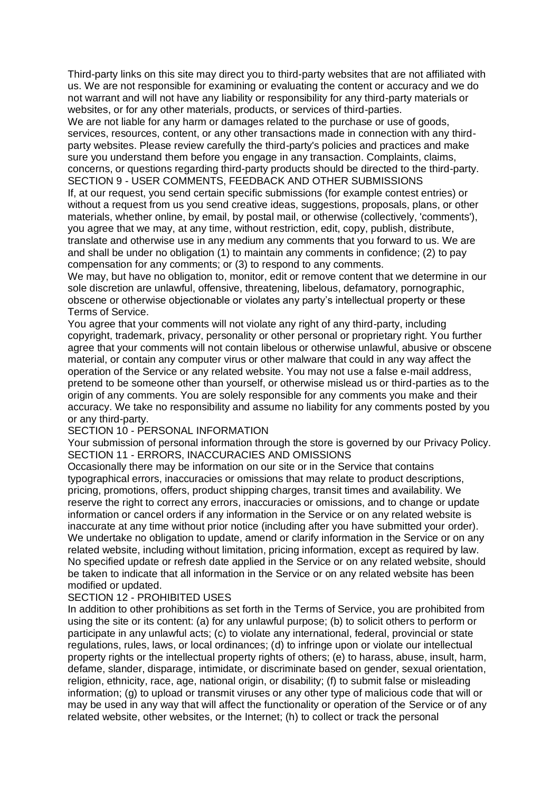Third-party links on this site may direct you to third-party websites that are not affiliated with us. We are not responsible for examining or evaluating the content or accuracy and we do not warrant and will not have any liability or responsibility for any third-party materials or websites, or for any other materials, products, or services of third-parties.

We are not liable for any harm or damages related to the purchase or use of goods, services, resources, content, or any other transactions made in connection with any thirdparty websites. Please review carefully the third-party's policies and practices and make sure you understand them before you engage in any transaction. Complaints, claims, concerns, or questions regarding third-party products should be directed to the third-party. SECTION 9 - USER COMMENTS, FEEDBACK AND OTHER SUBMISSIONS If, at our request, you send certain specific submissions (for example contest entries) or without a request from us you send creative ideas, suggestions, proposals, plans, or other materials, whether online, by email, by postal mail, or otherwise (collectively, 'comments'), you agree that we may, at any time, without restriction, edit, copy, publish, distribute, translate and otherwise use in any medium any comments that you forward to us. We are and shall be under no obligation (1) to maintain any comments in confidence; (2) to pay compensation for any comments; or (3) to respond to any comments.

We may, but have no obligation to, monitor, edit or remove content that we determine in our sole discretion are unlawful, offensive, threatening, libelous, defamatory, pornographic, obscene or otherwise objectionable or violates any party's intellectual property or these Terms of Service.

You agree that your comments will not violate any right of any third-party, including copyright, trademark, privacy, personality or other personal or proprietary right. You further agree that your comments will not contain libelous or otherwise unlawful, abusive or obscene material, or contain any computer virus or other malware that could in any way affect the operation of the Service or any related website. You may not use a false e-mail address, pretend to be someone other than yourself, or otherwise mislead us or third-parties as to the origin of any comments. You are solely responsible for any comments you make and their accuracy. We take no responsibility and assume no liability for any comments posted by you or any third-party.

SECTION 10 - PERSONAL INFORMATION

Your submission of personal information through the store is governed by our Privacy Policy. SECTION 11 - ERRORS, INACCURACIES AND OMISSIONS

Occasionally there may be information on our site or in the Service that contains typographical errors, inaccuracies or omissions that may relate to product descriptions, pricing, promotions, offers, product shipping charges, transit times and availability. We reserve the right to correct any errors, inaccuracies or omissions, and to change or update information or cancel orders if any information in the Service or on any related website is inaccurate at any time without prior notice (including after you have submitted your order). We undertake no obligation to update, amend or clarify information in the Service or on any related website, including without limitation, pricing information, except as required by law. No specified update or refresh date applied in the Service or on any related website, should be taken to indicate that all information in the Service or on any related website has been modified or updated.

### SECTION 12 - PROHIBITED USES

In addition to other prohibitions as set forth in the Terms of Service, you are prohibited from using the site or its content: (a) for any unlawful purpose; (b) to solicit others to perform or participate in any unlawful acts; (c) to violate any international, federal, provincial or state regulations, rules, laws, or local ordinances; (d) to infringe upon or violate our intellectual property rights or the intellectual property rights of others; (e) to harass, abuse, insult, harm, defame, slander, disparage, intimidate, or discriminate based on gender, sexual orientation, religion, ethnicity, race, age, national origin, or disability; (f) to submit false or misleading information; (g) to upload or transmit viruses or any other type of malicious code that will or may be used in any way that will affect the functionality or operation of the Service or of any related website, other websites, or the Internet; (h) to collect or track the personal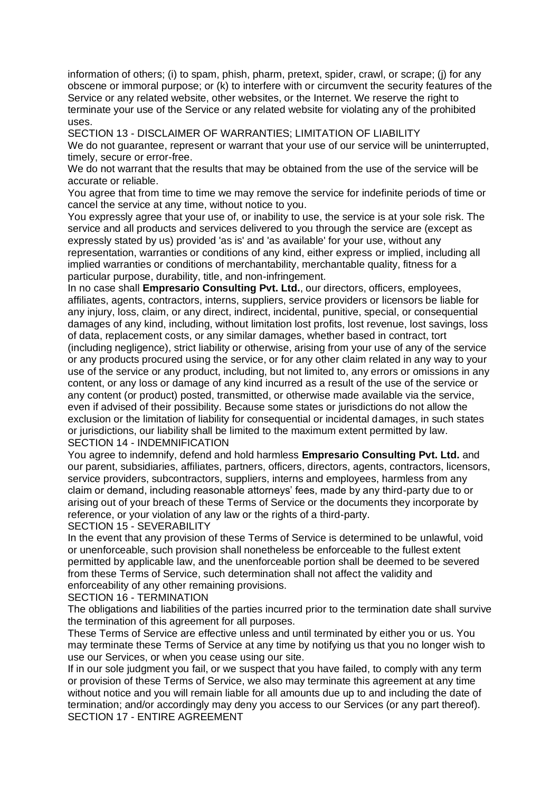information of others; (i) to spam, phish, pharm, pretext, spider, crawl, or scrape; (j) for any obscene or immoral purpose; or (k) to interfere with or circumvent the security features of the Service or any related website, other websites, or the Internet. We reserve the right to terminate your use of the Service or any related website for violating any of the prohibited uses.

SECTION 13 - DISCLAIMER OF WARRANTIES; LIMITATION OF LIABILITY We do not quarantee, represent or warrant that your use of our service will be uninterrupted, timely, secure or error-free.

We do not warrant that the results that may be obtained from the use of the service will be accurate or reliable.

You agree that from time to time we may remove the service for indefinite periods of time or cancel the service at any time, without notice to you.

You expressly agree that your use of, or inability to use, the service is at your sole risk. The service and all products and services delivered to you through the service are (except as expressly stated by us) provided 'as is' and 'as available' for your use, without any representation, warranties or conditions of any kind, either express or implied, including all implied warranties or conditions of merchantability, merchantable quality, fitness for a particular purpose, durability, title, and non-infringement.

In no case shall **Empresario Consulting Pvt. Ltd.**, our directors, officers, employees, affiliates, agents, contractors, interns, suppliers, service providers or licensors be liable for any injury, loss, claim, or any direct, indirect, incidental, punitive, special, or consequential damages of any kind, including, without limitation lost profits, lost revenue, lost savings, loss of data, replacement costs, or any similar damages, whether based in contract, tort (including negligence), strict liability or otherwise, arising from your use of any of the service or any products procured using the service, or for any other claim related in any way to your use of the service or any product, including, but not limited to, any errors or omissions in any content, or any loss or damage of any kind incurred as a result of the use of the service or any content (or product) posted, transmitted, or otherwise made available via the service, even if advised of their possibility. Because some states or jurisdictions do not allow the exclusion or the limitation of liability for consequential or incidental damages, in such states or jurisdictions, our liability shall be limited to the maximum extent permitted by law. SECTION 14 - INDEMNIFICATION

You agree to indemnify, defend and hold harmless **Empresario Consulting Pvt. Ltd.** and our parent, subsidiaries, affiliates, partners, officers, directors, agents, contractors, licensors, service providers, subcontractors, suppliers, interns and employees, harmless from any claim or demand, including reasonable attorneys' fees, made by any third-party due to or arising out of your breach of these Terms of Service or the documents they incorporate by reference, or your violation of any law or the rights of a third-party.

### SECTION 15 - SEVERABILITY

In the event that any provision of these Terms of Service is determined to be unlawful, void or unenforceable, such provision shall nonetheless be enforceable to the fullest extent permitted by applicable law, and the unenforceable portion shall be deemed to be severed from these Terms of Service, such determination shall not affect the validity and enforceability of any other remaining provisions.

### SECTION 16 - TERMINATION

The obligations and liabilities of the parties incurred prior to the termination date shall survive the termination of this agreement for all purposes.

These Terms of Service are effective unless and until terminated by either you or us. You may terminate these Terms of Service at any time by notifying us that you no longer wish to use our Services, or when you cease using our site.

If in our sole judgment you fail, or we suspect that you have failed, to comply with any term or provision of these Terms of Service, we also may terminate this agreement at any time without notice and you will remain liable for all amounts due up to and including the date of termination; and/or accordingly may deny you access to our Services (or any part thereof). SECTION 17 - ENTIRE AGREEMENT